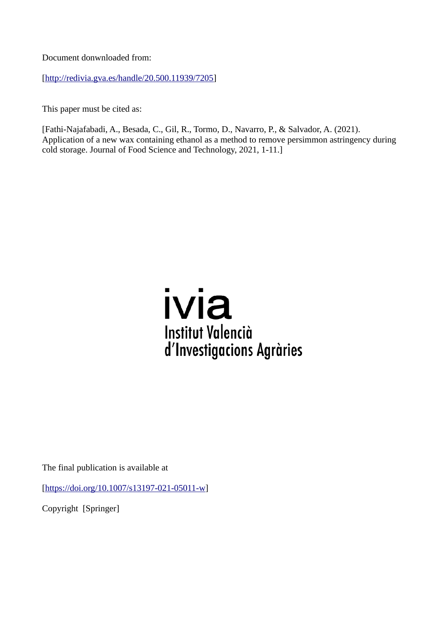Document donwnloaded from:

[[http://redivia.gva.es/handle/20.500.11939/7205\]](http://redivia.gva.es/handle/20.500.11939/7205)

This paper must be cited as:

[Fathi-Najafabadi, A., Besada, C., Gil, R., Tormo, D., Navarro, P., & Salvador, A. (2021). Application of a new wax containing ethanol as a method to remove persimmon astringency during cold storage. Journal of Food Science and Technology, 2021, 1-11.]



The final publication is available at

[[https://doi.org/10.1007/s13197-021-05011-w\]](https://doi.org/10.1007/s13197-021-05011-w)

Copyright [Springer]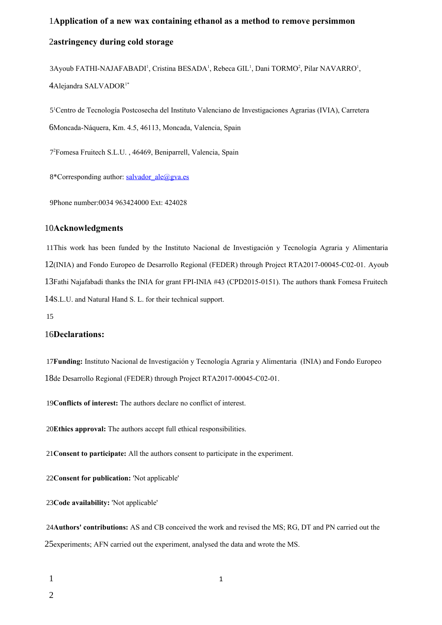# **Application of a new wax containing ethanol as a method to remove persimmon**  1 **astringency during cold storage** 2

 $3$ Ayoub FATHI-NAJAFABADI<sup>1</sup>, Cristina BESADA<sup>1</sup>, Rebeca GIL<sup>1</sup>, Dani TORMO<sup>2</sup>, Pilar NAVARRO<sup>1</sup>, 4 Alejandra SALVADOR<sup>1\*</sup>

5<sup>1</sup>Centro de Tecnología Postcosecha del Instituto Valenciano de Investigaciones Agrarias (IVIA), Carretera Moncada-Náquera, Km. 4.5, 46113, Moncada, Valencia, Spain 6

7<sup>2</sup> Fomesa Fruitech S.L.U., 46469, Beniparrell, Valencia, Spain

8\*Corresponding author: [salvador\\_ale@gva.es](mailto:salvador_ale@gva.es)

Phone number:0034 963424000 Ext: 424028 9

#### **Acknowledgments**  10

11This work has been funded by the Instituto Nacional de Investigación y Tecnología Agraria y Alimentaria 12(INIA) and Fondo Europeo de Desarrollo Regional (FEDER) through Project RTA2017-00045-C02-01. Ayoub 13Fathi Najafabadi thanks the INIA for grant FPI-INIA #43 (CPD2015-0151). The authors thank Fomesa Fruitech 14S.L.U. and Natural Hand S. L. for their technical support.

15

#### 16Declarations:

17Funding: Instituto Nacional de Investigación y Tecnología Agraria y Alimentaria (INIA) and Fondo Europeo 18de Desarrollo Regional (FEDER) through Project RTA2017-00045-C02-01.

19 Conflicts of interest: The authors declare no conflict of interest.

20 Ethics approval: The authors accept full ethical responsibilities.

**Consent to participate:** All the authors consent to participate in the experiment. 21

22Consent for publication: 'Not applicable'

23Code availability: 'Not applicable'

**Authors' contributions:** AS and CB conceived the work and revised the MS; RG, DT and PN carried out the 24 25 experiments; AFN carried out the experiment, analysed the data and wrote the MS.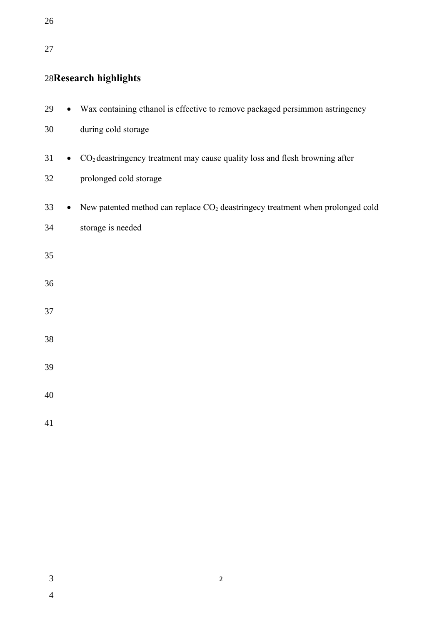# 

# 28Research highlights

| 29 |           | Wax containing ethanol is effective to remove packaged persimmon astringency               |
|----|-----------|--------------------------------------------------------------------------------------------|
| 30 |           | during cold storage                                                                        |
| 31 | $\bullet$ | CO <sub>2</sub> deastringency treatment may cause quality loss and flesh browning after    |
| 32 |           | prolonged cold storage                                                                     |
| 33 |           | New patented method can replace CO <sub>2</sub> deastringecy treatment when prolonged cold |
| 34 |           | storage is needed                                                                          |
| 35 |           |                                                                                            |
| 36 |           |                                                                                            |
| 37 |           |                                                                                            |
| 38 |           |                                                                                            |
| 39 |           |                                                                                            |
| 40 |           |                                                                                            |
| 41 |           |                                                                                            |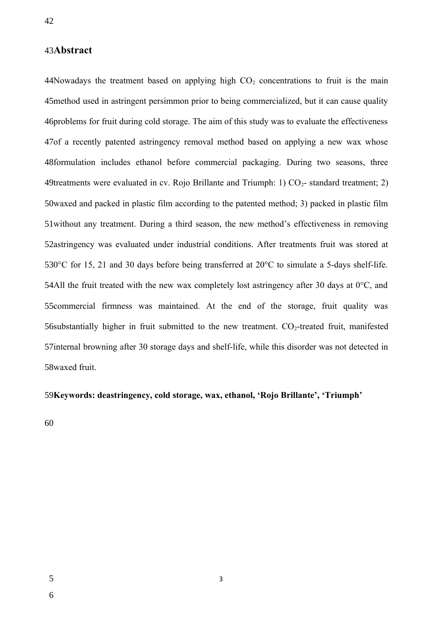# **Abstract**  43

44Nowadays the treatment based on applying high  $CO<sub>2</sub>$  concentrations to fruit is the main 45 method used in astringent persimmon prior to being commercialized, but it can cause quality 46problems for fruit during cold storage. The aim of this study was to evaluate the effectiveness 47of a recently patented astringency removal method based on applying a new wax whose 48formulation includes ethanol before commercial packaging. During two seasons, three 49treatments were evaluated in cv. Rojo Brillante and Triumph: 1)  $CO<sub>2</sub>$ - standard treatment; 2) 50waxed and packed in plastic film according to the patented method; 3) packed in plastic film 51 without any treatment. During a third season, the new method's effectiveness in removing 52astringency was evaluated under industrial conditions. After treatments fruit was stored at 530 $^{\circ}$ C for 15, 21 and 30 days before being transferred at 20 $^{\circ}$ C to simulate a 5-days shelf-life. 54All the fruit treated with the new wax completely lost astringency after 30 days at  $0^{\circ}$ C, and 55 commercial firmness was maintained. At the end of the storage, fruit quality was 56 substantially higher in fruit submitted to the new treatment.  $CO_2$ -treated fruit, manifested 57internal browning after 30 storage days and shelf-life, while this disorder was not detected in 58waxed fruit.

#### **Keywords: deastringency, cold storage, wax, ethanol, 'Rojo Brillante', 'Triumph'**  59

3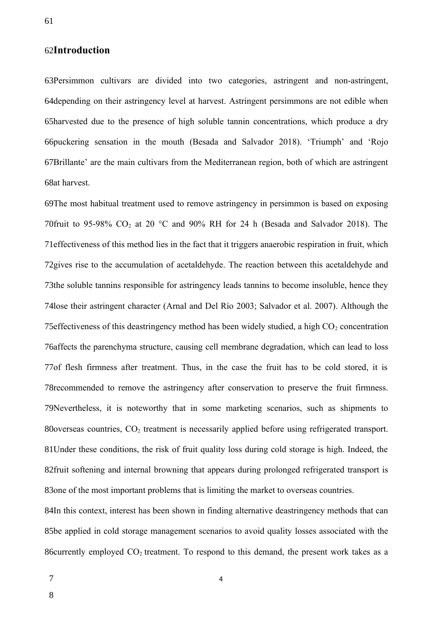# **Introduction** 62

63Persimmon cultivars are divided into two categories, astringent and non-astringent, 64 depending on their astringency level at harvest. Astringent persimmons are not edible when 65harvested due to the presence of high soluble tannin concentrations, which produce a dry 66puckering sensation in the mouth (Besada and Salvador 2018). 'Triumph' and 'Rojo 67Brillante' are the main cultivars from the Mediterranean region, both of which are astringent 68at harvest.

69The most habitual treatment used to remove astringency in persimmon is based on exposing 70 fruit to 95-98%  $CO_2$  at 20 °C and 90% RH for 24 h (Besada and Salvador 2018). The 71 effectiveness of this method lies in the fact that it triggers anaerobic respiration in fruit, which 72gives rise to the accumulation of acetaldehyde. The reaction between this acetaldehyde and 73the soluble tannins responsible for astringency leads tannins to become insoluble, hence they 74lose their astringent character (Arnal and Del Río 2003; Salvador et al. 2007). Although the 75 effectiveness of this deastringency method has been widely studied, a high  $CO_2$  concentration 76 affects the parenchyma structure, causing cell membrane degradation, which can lead to loss 77 of flesh firmness after treatment. Thus, in the case the fruit has to be cold stored, it is 78 recommended to remove the astringency after conservation to preserve the fruit firmness. 79Nevertheless, it is noteworthy that in some marketing scenarios, such as shipments to 80 overseas countries,  $CO<sub>2</sub>$  treatment is necessarily applied before using refrigerated transport. 81 Under these conditions, the risk of fruit quality loss during cold storage is high. Indeed, the 82fruit softening and internal browning that appears during prolonged refrigerated transport is 83one of the most important problems that is limiting the market to overseas countries.

84In this context, interest has been shown in finding alternative deastringency methods that can 85be applied in cold storage management scenarios to avoid quality losses associated with the 86 currently employed  $CO_2$  treatment. To respond to this demand, the present work takes as a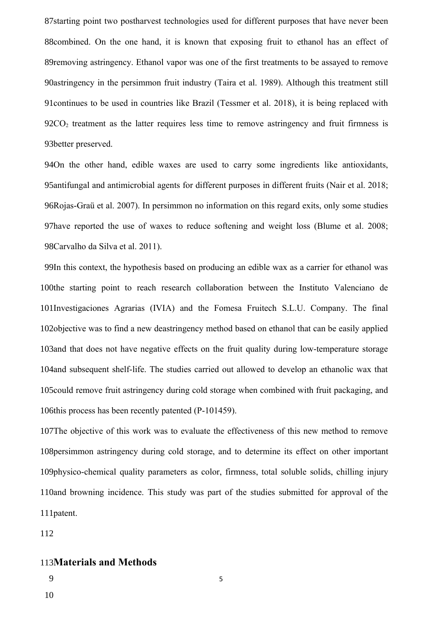87starting point two postharvest technologies used for different purposes that have never been 88 combined. On the one hand, it is known that exposing fruit to ethanol has an effect of 89removing astringency. Ethanol vapor was one of the first treatments to be assayed to remove 90astringency in the persimmon fruit industry (Taira et al. 1989). Although this treatment still 91 continues to be used in countries like Brazil (Tessmer et al. 2018), it is being replaced with  $92CO<sub>2</sub>$  treatment as the latter requires less time to remove astringency and fruit firmness is 93 better preserved.

94On the other hand, edible waxes are used to carry some ingredients like antioxidants, 95antifungal and antimicrobial agents for different purposes in different fruits (Nair et al. 2018; 96Rojas-Graü et al. 2007). In persimmon no information on this regard exits, only some studies 97have reported the use of waxes to reduce softening and weight loss (Blume et al. 2008; Carvalho da Silva et al. 2011). 98

99In this context, the hypothesis based on producing an edible wax as a carrier for ethanol was 100the starting point to reach research collaboration between the Instituto Valenciano de 101Investigaciones Agrarias (IVIA) and the Fomesa Fruitech S.L.U. Company. The final 102 objective was to find a new deastringency method based on ethanol that can be easily applied 103and that does not have negative effects on the fruit quality during low-temperature storage 104 and subsequent shelf-life. The studies carried out allowed to develop an ethanolic wax that 105could remove fruit astringency during cold storage when combined with fruit packaging, and 106this process has been recently patented  $(P-101459)$ .

107The objective of this work was to evaluate the effectiveness of this new method to remove 108 persimmon astringency during cold storage, and to determine its effect on other important 109physico-chemical quality parameters as color, firmness, total soluble solids, chilling injury 110and browning incidence. This study was part of the studies submitted for approval of the 111patent.

5

112

# 113Materials and Methods

- 9
- 10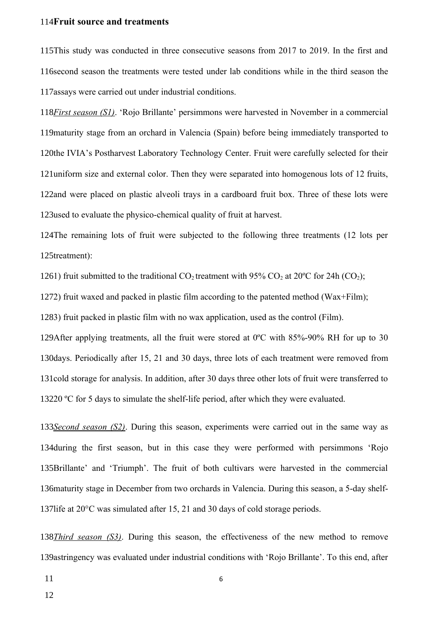#### 114Fruit source and treatments

115This study was conducted in three consecutive seasons from 2017 to 2019. In the first and 116 second season the treatments were tested under lab conditions while in the third season the 117 assays were carried out under industrial conditions.

118*First season (S1)*. 'Rojo Brillante' persimmons were harvested in November in a commercial 119 maturity stage from an orchard in Valencia (Spain) before being immediately transported to 120the IVIA's Postharvest Laboratory Technology Center. Fruit were carefully selected for their 121 uniform size and external color. Then they were separated into homogenous lots of 12 fruits, 122and were placed on plastic alveoli trays in a cardboard fruit box. Three of these lots were 123used to evaluate the physico-chemical quality of fruit at harvest.

124The remaining lots of fruit were subjected to the following three treatments (12 lots per 125treatment):

1261) fruit submitted to the traditional  $CO_2$  treatment with 95%  $CO_2$  at 20°C for 24h (CO<sub>2</sub>);

1272) fruit waxed and packed in plastic film according to the patented method (Wax+Film);

1283) fruit packed in plastic film with no wax application, used as the control (Film).

129After applying treatments, all the fruit were stored at  $0^{\circ}$ C with 85%-90% RH for up to 30 130 days. Periodically after 15, 21 and 30 days, three lots of each treatment were removed from 131cold storage for analysis. In addition, after 30 days three other lots of fruit were transferred to 13220  $\rm{°C}$  for 5 days to simulate the shelf-life period, after which they were evaluated.

133*Second season (S2)*. During this season, experiments were carried out in the same way as 134 during the first season, but in this case they were performed with persimmons 'Rojo 135Brillante' and 'Triumph'. The fruit of both cultivars were harvested in the commercial 136 maturity stage in December from two orchards in Valencia. During this season, a 5-day shelf-137 life at  $20^{\circ}$ C was simulated after 15, 21 and 30 days of cold storage periods.

138*Third season (S3)*. During this season, the effectiveness of the new method to remove 139astringency was evaluated under industrial conditions with 'Rojo Brillante'. To this end, after

11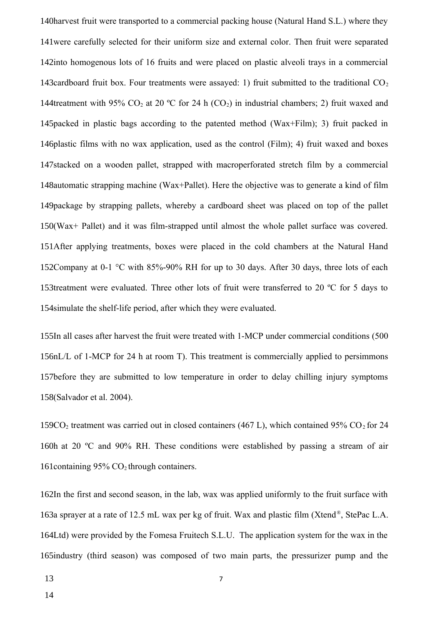140 harvest fruit were transported to a commercial packing house (Natural Hand S.L.) where they 141were carefully selected for their uniform size and external color. Then fruit were separated 142into homogenous lots of 16 fruits and were placed on plastic alveoli trays in a commercial 143cardboard fruit box. Four treatments were assayed: 1) fruit submitted to the traditional  $CO<sub>2</sub>$ 144treatment with 95% CO<sub>2</sub> at 20 °C for 24 h (CO<sub>2</sub>) in industrial chambers; 2) fruit waxed and 145packed in plastic bags according to the patented method (Wax+Film); 3) fruit packed in 146 plastic films with no wax application, used as the control (Film); 4) fruit waxed and boxes 147stacked on a wooden pallet, strapped with macroperforated stretch film by a commercial 148 automatic strapping machine (Wax+Pallet). Here the objective was to generate a kind of film 149package by strapping pallets, whereby a cardboard sheet was placed on top of the pallet 150(Wax+ Pallet) and it was film-strapped until almost the whole pallet surface was covered. 151After applying treatments, boxes were placed in the cold chambers at the Natural Hand 152Company at 0-1  $\degree$ C with 85%-90% RH for up to 30 days. After 30 days, three lots of each 153treatment were evaluated. Three other lots of fruit were transferred to 20 °C for 5 days to 154 simulate the shelf-life period, after which they were evaluated.

155In all cases after harvest the fruit were treated with 1-MCP under commercial conditions (500 156nL/L of 1-MCP for 24 h at room T). This treatment is commercially applied to persimmons 157before they are submitted to low temperature in order to delay chilling injury symptoms 158(Salvador et al. 2004).

159CO<sub>2</sub> treatment was carried out in closed containers (467 L), which contained 95% CO<sub>2</sub> for 24 160h at 20 °C and 90% RH. These conditions were established by passing a stream of air 161 containing  $95\%$  CO<sub>2</sub> through containers.

162In the first and second season, in the lab, wax was applied uniformly to the fruit surface with 163a sprayer at a rate of 12.5 mL wax per kg of fruit. Wax and plastic film (Xtend®, StePac L.A. 164Ltd) were provided by the Fomesa Fruitech S.L.U. The application system for the wax in the 165industry (third season) was composed of two main parts, the pressurizer pump and the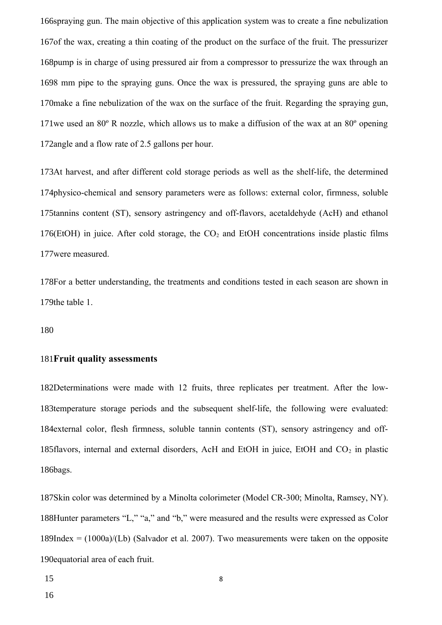166spraying gun. The main objective of this application system was to create a fine nebulization 167of the wax, creating a thin coating of the product on the surface of the fruit. The pressurizer 168pump is in charge of using pressured air from a compressor to pressurize the wax through an 1698 mm pipe to the spraying guns. Once the wax is pressured, the spraying guns are able to 170 make a fine nebulization of the wax on the surface of the fruit. Regarding the spraying gun, 171we used an  $80^\circ$  R nozzle, which allows us to make a diffusion of the wax at an  $80^\circ$  opening 172angle and a flow rate of 2.5 gallons per hour.

173At harvest, and after different cold storage periods as well as the shelf-life, the determined 174physico-chemical and sensory parameters were as follows: external color, firmness, soluble 175tannins content (ST), sensory astringency and off-flavors, acetaldehyde (AcH) and ethanol 176(EtOH) in juice. After cold storage, the  $CO<sub>2</sub>$  and EtOH concentrations inside plastic films 177 were measured.

178For a better understanding, the treatments and conditions tested in each season are shown in 179the table 1.

180

#### 181 Fruit quality assessments

182Determinations were made with 12 fruits, three replicates per treatment. After the low-183temperature storage periods and the subsequent shelf-life, the following were evaluated: 184 external color, flesh firmness, soluble tannin contents (ST), sensory astringency and off-185 flavors, internal and external disorders, AcH and EtOH in juice, EtOH and  $CO<sub>2</sub>$  in plastic 186bags.

187Skin color was determined by a Minolta colorimeter (Model CR-300; Minolta, Ramsey, NY). 188Hunter parameters "L," "a," and "b," were measured and the results were expressed as Color  $189$ Index =  $(1000a)/(Lb)$  (Salvador et al. 2007). Two measurements were taken on the opposite 190 equatorial area of each fruit.

15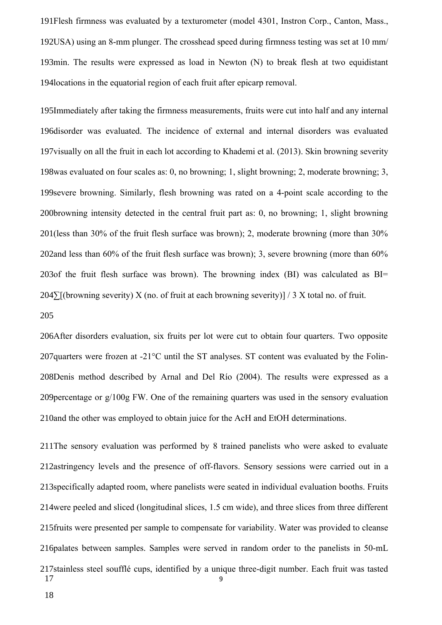191Flesh firmness was evaluated by a texturometer (model 4301, Instron Corp., Canton, Mass., 192USA) using an 8-mm plunger. The crosshead speed during firmness testing was set at 10 mm/ 193min. The results were expressed as load in Newton (N) to break flesh at two equidistant 194 locations in the equatorial region of each fruit after epicarp removal.

195Immediately after taking the firmness measurements, fruits were cut into half and any internal 196disorder was evaluated. The incidence of external and internal disorders was evaluated 197 visually on all the fruit in each lot according to Khademi et al. (2013). Skin browning severity 198was evaluated on four scales as: 0, no browning; 1, slight browning; 2, moderate browning; 3, 199severe browning. Similarly, flesh browning was rated on a 4-point scale according to the 200browning intensity detected in the central fruit part as: 0, no browning; 1, slight browning 201(less than 30% of the fruit flesh surface was brown); 2, moderate browning (more than  $30\%$ 202and less than  $60\%$  of the fruit flesh surface was brown); 3, severe browning (more than  $60\%$ 203of the fruit flesh surface was brown). The browning index (BI) was calculated as  $BI =$  $204\sum$ [(browning severity) X (no. of fruit at each browning severity)] / 3 X total no. of fruit.

205

206After disorders evaluation, six fruits per lot were cut to obtain four quarters. Two opposite 207 quarters were frozen at -21 $^{\circ}$ C until the ST analyses. ST content was evaluated by the Folin-208Denis method described by Arnal and Del Río (2004). The results were expressed as a 209 percentage or  $g/100g$  FW. One of the remaining quarters was used in the sensory evaluation 210 and the other was employed to obtain juice for the AcH and EtOH determinations.

211The sensory evaluation was performed by 8 trained panelists who were asked to evaluate 212astringency levels and the presence of off-flavors. Sensory sessions were carried out in a 213 specifically adapted room, where panelists were seated in individual evaluation booths. Fruits 214 were peeled and sliced (longitudinal slices, 1.5 cm wide), and three slices from three different 215 fruits were presented per sample to compensate for variability. Water was provided to cleanse 216 palates between samples. Samples were served in random order to the panelists in 50-mL 217 stainless steel soufflé cups, identified by a unique three-digit number. Each fruit was tasted 9 17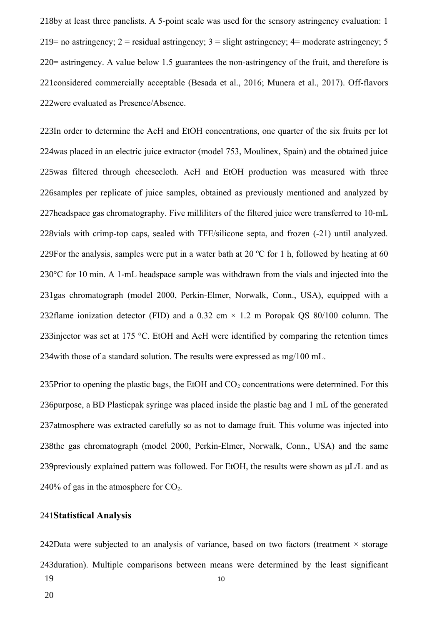218by at least three panelists. A 5-point scale was used for the sensory astringency evaluation: 1 219 = no astringency;  $2$  = residual astringency;  $3$  = slight astringency;  $4$  = moderate astringency; 5 220= astringency. A value below 1.5 guarantees the non-astringency of the fruit, and therefore is 221considered commercially acceptable (Besada et al., 2016; Munera et al., 2017). Off-flavors 222 were evaluated as Presence/Absence.

223In order to determine the AcH and EtOH concentrations, one quarter of the six fruits per lot 224was placed in an electric juice extractor (model 753, Moulinex, Spain) and the obtained juice 225was filtered through cheesecloth. AcH and EtOH production was measured with three 226 samples per replicate of juice samples, obtained as previously mentioned and analyzed by 227headspace gas chromatography. Five milliliters of the filtered juice were transferred to 10-mL 228vials with crimp-top caps, sealed with TFE/silicone septa, and frozen (-21) until analyzed. 229For the analysis, samples were put in a water bath at 20  $^{\circ}$ C for 1 h, followed by heating at 60 230 $\degree$ C for 10 min. A 1-mL headspace sample was withdrawn from the vials and injected into the 231gas chromatograph (model 2000, Perkin-Elmer, Norwalk, Conn., USA), equipped with a 232flame ionization detector (FID) and a 0.32 cm  $\times$  1.2 m Poropak QS 80/100 column. The 233injector was set at 175 °C. EtOH and AcH were identified by comparing the retention times 234 with those of a standard solution. The results were expressed as mg/100 mL.

235Prior to opening the plastic bags, the EtOH and  $CO<sub>2</sub>$  concentrations were determined. For this 236purpose, a BD Plasticpak syringe was placed inside the plastic bag and 1 mL of the generated 237atmosphere was extracted carefully so as not to damage fruit. This volume was injected into 238the gas chromatograph (model 2000, Perkin-Elmer, Norwalk, Conn., USA) and the same 239 previously explained pattern was followed. For EtOH, the results were shown as  $\mu L/L$  and as 240% of gas in the atmosphere for  $CO<sub>2</sub>$ .

#### **Statistical Analysis** 241

242Data were subjected to an analysis of variance, based on two factors (treatment  $\times$  storage 243 duration). Multiple comparisons between means were determined by the least significant 10 19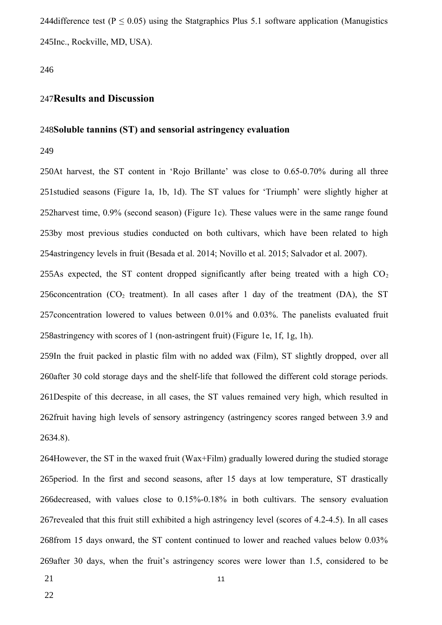244 difference test ( $P \le 0.05$ ) using the Statgraphics Plus 5.1 software application (Manugistics 245Inc., Rockville, MD, USA).

246

# **Results and Discussion** 247

#### 248Soluble tannins (ST) and sensorial astringency evaluation

249

250At harvest, the ST content in 'Rojo Brillante' was close to 0.65-0.70% during all three 251studied seasons (Figure 1a, 1b, 1d). The ST values for 'Triumph' were slightly higher at 252harvest time, 0.9% (second season) (Figure 1c). These values were in the same range found 253by most previous studies conducted on both cultivars, which have been related to high 254astringency levels in fruit (Besada et al. 2014; Novillo et al. 2015; Salvador et al. 2007).

255As expected, the ST content dropped significantly after being treated with a high  $CO<sub>2</sub>$ 256 concentration (CO<sub>2</sub> treatment). In all cases after 1 day of the treatment (DA), the ST 257 concentration lowered to values between  $0.01\%$  and  $0.03\%$ . The panelists evaluated fruit 258 astringency with scores of 1 (non-astringent fruit) (Figure 1e, 1f, 1g, 1h).

259In the fruit packed in plastic film with no added wax (Film), ST slightly dropped, over all 260after 30 cold storage days and the shelf-life that followed the different cold storage periods. 261Despite of this decrease, in all cases, the ST values remained very high, which resulted in 262fruit having high levels of sensory astringency (astringency scores ranged between 3.9 and 2634.8).

264However, the ST in the waxed fruit (Wax+Film) gradually lowered during the studied storage 265 period. In the first and second seasons, after 15 days at low temperature, ST drastically 266 decreased, with values close to  $0.15\%$ -0.18% in both cultivars. The sensory evaluation 267 revealed that this fruit still exhibited a high astringency level (scores of 4.2-4.5). In all cases 268from 15 days onward, the ST content continued to lower and reached values below 0.03% 269after 30 days, when the fruit's astringency scores were lower than 1.5, considered to be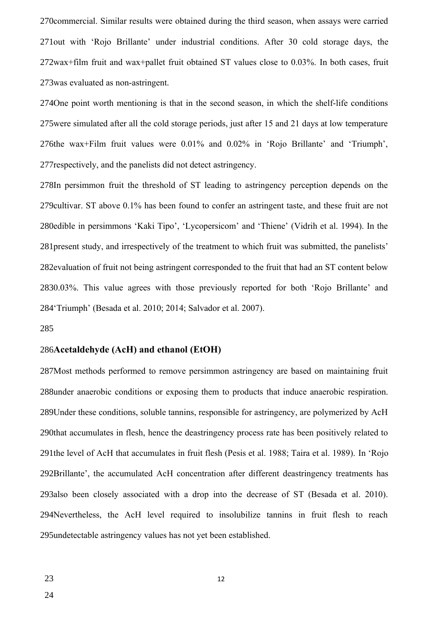270 commercial. Similar results were obtained during the third season, when assays were carried 271 out with 'Rojo Brillante' under industrial conditions. After 30 cold storage days, the 272wax+film fruit and wax+pallet fruit obtained ST values close to 0.03%. In both cases, fruit 273 was evaluated as non-astringent.

274One point worth mentioning is that in the second season, in which the shelf-life conditions 275 were simulated after all the cold storage periods, just after 15 and 21 days at low temperature 276the wax+Film fruit values were 0.01% and 0.02% in 'Rojo Brillante' and 'Triumph', 277 respectively, and the panelists did not detect astringency.

278In persimmon fruit the threshold of ST leading to astringency perception depends on the 279 cultivar. ST above 0.1% has been found to confer an astringent taste, and these fruit are not 280edible in persimmons 'Kaki Tipo', 'Lycopersicom' and 'Thiene' (Vidrih et al. 1994). In the 281 present study, and irrespectively of the treatment to which fruit was submitted, the panelists' 282 evaluation of fruit not being astringent corresponded to the fruit that had an ST content below 2830.03%. This value agrees with those previously reported for both 'Rojo Brillante' and 284 Triumph' (Besada et al. 2010; 2014; Salvador et al. 2007).

#### 285

### 286Acetaldehyde (AcH) and ethanol (EtOH)

287Most methods performed to remove persimmon astringency are based on maintaining fruit 288 under anaerobic conditions or exposing them to products that induce anaerobic respiration. 289Under these conditions, soluble tannins, responsible for astringency, are polymerized by AcH 290that accumulates in flesh, hence the deastringency process rate has been positively related to 291the level of AcH that accumulates in fruit flesh (Pesis et al. 1988; Taira et al. 1989). In 'Rojo 292Brillante', the accumulated AcH concentration after different deastringency treatments has 293also been closely associated with a drop into the decrease of ST (Besada et al. 2010). 294Nevertheless, the AcH level required to insolubilize tannins in fruit flesh to reach 295 undetectable astringency values has not yet been established.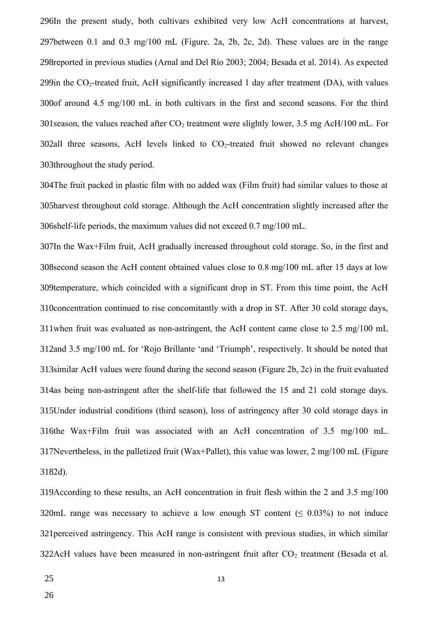296In the present study, both cultivars exhibited very low AcH concentrations at harvest, 297between 0.1 and 0.3 mg/100 mL (Figure. 2a, 2b, 2c, 2d). These values are in the range 298 reported in previous studies (Arnal and Del Río 2003; 2004; Besada et al. 2014). As expected 299in the  $CO_2$ -treated fruit, AcH significantly increased 1 day after treatment (DA), with values 300of around 4.5 mg/100 mL in both cultivars in the first and second seasons. For the third 301 season, the values reached after  $CO_2$  treatment were slightly lower, 3.5 mg AcH/100 mL. For  $302$ all three seasons, AcH levels linked to  $CO<sub>2</sub>$ -treated fruit showed no relevant changes 303throughout the study period.

304The fruit packed in plastic film with no added wax (Film fruit) had similar values to those at 305harvest throughout cold storage. Although the AcH concentration slightly increased after the 306shelf-life periods, the maximum values did not exceed 0.7 mg/100 mL.

307In the Wax+Film fruit, AcH gradually increased throughout cold storage. So, in the first and 308 second season the AcH content obtained values close to 0.8 mg/100 mL after 15 days at low 309temperature, which coincided with a significant drop in ST. From this time point, the AcH 310 concentration continued to rise concomitantly with a drop in ST. After 30 cold storage days, 311 when fruit was evaluated as non-astringent, the AcH content came close to  $2.5 \text{ mg}/100 \text{ mL}$ 312and 3.5 mg/100 mL for 'Rojo Brillante 'and 'Triumph', respectively. It should be noted that 313 similar AcH values were found during the second season (Figure 2b, 2c) in the fruit evaluated 314as being non-astringent after the shelf-life that followed the 15 and 21 cold storage days. 315Under industrial conditions (third season), loss of astringency after 30 cold storage days in 316the Wax+Film fruit was associated with an AcH concentration of 3.5 mg/100 mL. 317Nevertheless, in the palletized fruit (Wax+Pallet), this value was lower, 2 mg/100 mL (Figure 3182d).

319According to these results, an AcH concentration in fruit flesh within the 2 and 3.5 mg/100 320mL range was necessary to achieve a low enough ST content ( $\leq 0.03\%$ ) to not induce 321 perceived astringency. This AcH range is consistent with previous studies, in which similar 322AcH values have been measured in non-astringent fruit after  $CO_2$  treatment (Besada et al.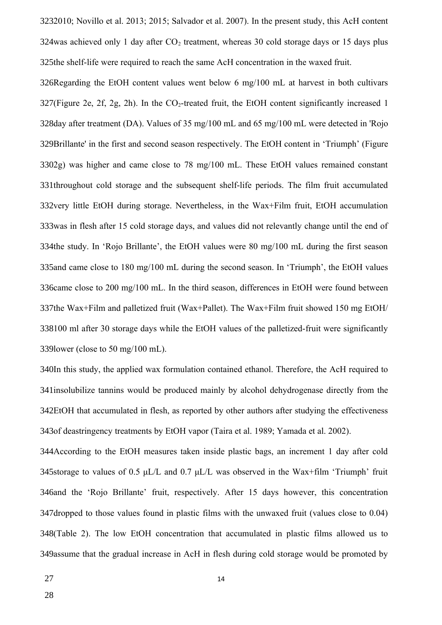3232010; Novillo et al. 2013; 2015; Salvador et al. 2007). In the present study, this AcH content 324was achieved only 1 day after  $CO_2$  treatment, whereas 30 cold storage days or 15 days plus 325the shelf-life were required to reach the same AcH concentration in the waxed fruit.

326Regarding the EtOH content values went below 6 mg/100 mL at harvest in both cultivars 327(Figure 2e, 2f, 2g, 2h). In the  $CO_2$ -treated fruit, the EtOH content significantly increased 1 328day after treatment (DA). Values of 35 mg/100 mL and 65 mg/100 mL were detected in 'Rojo 329Brillante' in the first and second season respectively. The EtOH content in 'Triumph' (Figure 3302g) was higher and came close to 78 mg/100 mL. These EtOH values remained constant 331throughout cold storage and the subsequent shelf-life periods. The film fruit accumulated 332very little EtOH during storage. Nevertheless, in the Wax+Film fruit, EtOH accumulation 333was in flesh after 15 cold storage days, and values did not relevantly change until the end of 334the study. In 'Rojo Brillante', the EtOH values were 80 mg/100 mL during the first season 335and came close to 180 mg/100 mL during the second season. In 'Triumph', the EtOH values 336 came close to 200 mg/100 mL. In the third season, differences in EtOH were found between 337the Wax+Film and palletized fruit (Wax+Pallet). The Wax+Film fruit showed 150 mg EtOH/ 338100 ml after 30 storage days while the EtOH values of the palletized-fruit were significantly 339 lower (close to 50 mg/100 mL).

340In this study, the applied wax formulation contained ethanol. Therefore, the AcH required to 341 insolubilize tannins would be produced mainly by alcohol dehydrogenase directly from the 342EtOH that accumulated in flesh, as reported by other authors after studying the effectiveness 343of deastringency treatments by EtOH vapor (Taira et al. 1989; Yamada et al. 2002).

344According to the EtOH measures taken inside plastic bags, an increment 1 day after cold 345storage to values of 0.5  $\mu$ L/L and 0.7  $\mu$ L/L was observed in the Wax+film 'Triumph' fruit 346and the 'Rojo Brillante' fruit, respectively. After 15 days however, this concentration 347 dropped to those values found in plastic films with the unwaxed fruit (values close to 0.04) 348(Table 2). The low EtOH concentration that accumulated in plastic films allowed us to 349assume that the gradual increase in AcH in flesh during cold storage would be promoted by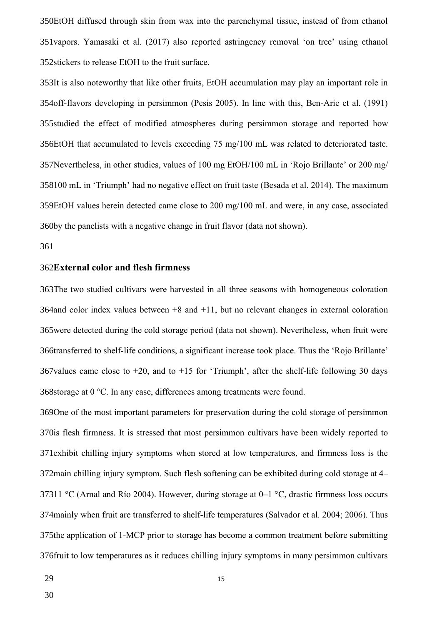350EtOH diffused through skin from wax into the parenchymal tissue, instead of from ethanol 351 vapors. Yamasaki et al. (2017) also reported astringency removal 'on tree' using ethanol 352 stickers to release EtOH to the fruit surface.

353It is also noteworthy that like other fruits, EtOH accumulation may play an important role in 354off-flavors developing in persimmon (Pesis 2005). In line with this, Ben-Arie et al. (1991) 355studied the effect of modified atmospheres during persimmon storage and reported how 356EtOH that accumulated to levels exceeding 75 mg/100 mL was related to deteriorated taste. 357Nevertheless, in other studies, values of 100 mg EtOH/100 mL in 'Rojo Brillante' or 200 mg/ 358100 mL in 'Triumph' had no negative effect on fruit taste (Besada et al. 2014). The maximum 359EtOH values herein detected came close to 200 mg/100 mL and were, in any case, associated 360by the panelists with a negative change in fruit flavor (data not shown).

#### 361

#### **External color and flesh firmness**  362

363The two studied cultivars were harvested in all three seasons with homogeneous coloration 364 and color index values between  $+8$  and  $+11$ , but no relevant changes in external coloration 365were detected during the cold storage period (data not shown). Nevertheless, when fruit were 366transferred to shelf-life conditions, a significant increase took place. Thus the 'Rojo Brillante' 367 values came close to  $+20$ , and to  $+15$  for 'Triumph', after the shelf-life following 30 days 368storage at  $0 °C$ . In any case, differences among treatments were found.

369One of the most important parameters for preservation during the cold storage of persimmon 370is flesh firmness. It is stressed that most persimmon cultivars have been widely reported to 371 exhibit chilling injury symptoms when stored at low temperatures, and firmness loss is the 372 main chilling injury symptom. Such flesh softening can be exhibited during cold storage at 4 37311 °C (Arnal and Río 2004). However, during storage at 0–1 °C, drastic firmness loss occurs 374 mainly when fruit are transferred to shelf-life temperatures (Salvador et al. 2004; 2006). Thus 375the application of 1-MCP prior to storage has become a common treatment before submitting 376 fruit to low temperatures as it reduces chilling injury symptoms in many persimmon cultivars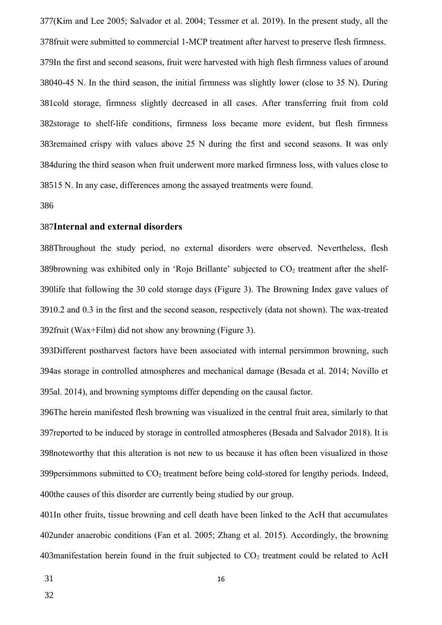377(Kim and Lee 2005; Salvador et al. 2004; Tessmer et al. 2019). In the present study, all the 378 fruit were submitted to commercial 1-MCP treatment after harvest to preserve flesh firmness. 379In the first and second seasons, fruit were harvested with high flesh firmness values of around 38040-45 N. In the third season, the initial firmness was slightly lower (close to 35 N). During 381cold storage, firmness slightly decreased in all cases. After transferring fruit from cold 382storage to shelf-life conditions, firmness loss became more evident, but flesh firmness 383 remained crispy with values above  $25$  N during the first and second seasons. It was only 384 during the third season when fruit underwent more marked firmness loss, with values close to 38515 N. In any case, differences among the assayed treatments were found.

#### 386

#### **Internal and external disorders**  387

388Throughout the study period, no external disorders were observed. Nevertheless, flesh 389browning was exhibited only in 'Rojo Brillante' subjected to  $CO<sub>2</sub>$  treatment after the shelf-390life that following the 30 cold storage days (Figure 3). The Browning Index gave values of 3910.2 and 0.3 in the first and the second season, respectively (data not shown). The wax-treated 392 fruit (Wax+Film) did not show any browning (Figure 3).

393Different postharvest factors have been associated with internal persimmon browning, such 394as storage in controlled atmospheres and mechanical damage (Besada et al. 2014; Novillo et 395al. 2014), and browning symptoms differ depending on the causal factor.

396The herein manifested flesh browning was visualized in the central fruit area, similarly to that 397 reported to be induced by storage in controlled atmospheres (Besada and Salvador 2018). It is 398 noteworthy that this alteration is not new to us because it has often been visualized in those 399 persimmons submitted to  $CO_2$  treatment before being cold-stored for lengthy periods. Indeed, 400the causes of this disorder are currently being studied by our group.

401In other fruits, tissue browning and cell death have been linked to the AcH that accumulates 402under anaerobic conditions (Fan et al. 2005; Zhang et al. 2015). Accordingly, the browning 403 manifestation herein found in the fruit subjected to  $CO<sub>2</sub>$  treatment could be related to AcH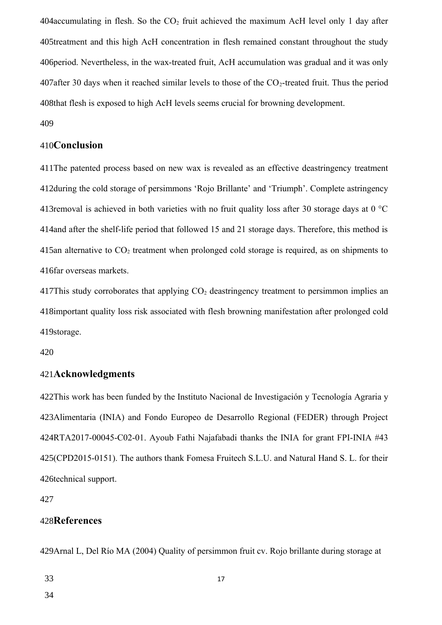404 accumulating in flesh. So the  $CO<sub>2</sub>$  fruit achieved the maximum AcH level only 1 day after 405treatment and this high AcH concentration in flesh remained constant throughout the study 406 period. Nevertheless, in the wax-treated fruit, AcH accumulation was gradual and it was only 407 after 30 days when it reached similar levels to those of the  $CO_2$ -treated fruit. Thus the period 408that flesh is exposed to high AcH levels seems crucial for browning development.

409

# 410**Conclusion**

411The patented process based on new wax is revealed as an effective deastringency treatment 412during the cold storage of persimmons 'Rojo Brillante' and 'Triumph'. Complete astringency 413 removal is achieved in both varieties with no fruit quality loss after 30 storage days at 0  $^{\circ}$ C 414 and after the shelf-life period that followed 15 and 21 storage days. Therefore, this method is 415an alternative to  $CO<sub>2</sub>$  treatment when prolonged cold storage is required, as on shipments to 416 far overseas markets.

417This study corroborates that applying  $CO<sub>2</sub>$  deastringency treatment to persimmon implies an 418important quality loss risk associated with flesh browning manifestation after prolonged cold 419storage.

420

# **Acknowledgments**  421

422This work has been funded by the Instituto Nacional de Investigación y Tecnología Agraria y 423Alimentaria (INIA) and Fondo Europeo de Desarrollo Regional (FEDER) through Project 424RTA2017-00045-C02-01. Ayoub Fathi Najafabadi thanks the INIA for grant FPI-INIA #43 425(CPD2015-0151). The authors thank Fomesa Fruitech S.L.U. and Natural Hand S. L. for their 426technical support.

427

# 428References

429Arnal L, Del Río MA (2004) Quality of persimmon fruit cv. Rojo brillante during storage at

33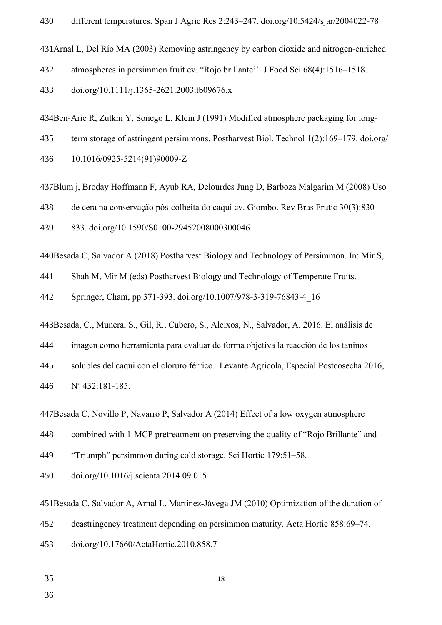431 Arnal L, Del Río MA (2003) Removing astringency by carbon dioxide and nitrogen-enriched

atmospheres in persimmon fruit cv. "Rojo brillante''. J Food Sci 68(4):1516–1518. 432

doi.org/10.1111/j.1365-2621.2003.tb09676.x 433

434Ben-Arie R, Zutkhi Y, Sonego L, Klein J (1991) Modified atmosphere packaging for long-

term storage of astringent persimmons. Postharvest Biol. Technol 1(2):169–179. doi.org/ 435

10.1016/0925-5214(91)90009-Z 436

437Blum j, Broday Hoffmann F, Ayub RA, Delourdes Jung D, Barboza Malgarim M (2008) Uso

de cera na conservação pós-colheita do caqui cv. Giombo. Rev Bras Frutic 30(3):830- 438

833. doi.org/10.1590/S0100-29452008000300046 439

440Besada C, Salvador A (2018) Postharvest Biology and Technology of Persimmon. In: Mir S,

Shah M, Mir M (eds) Postharvest Biology and Technology of Temperate Fruits. 441

Springer, Cham, pp 371-393. doi.org/10.1007/978-3-319-76843-4\_16 442

443Besada, C., Munera, S., Gil, R., Cubero, S., Aleixos, N., Salvador, A. 2016. El análisis de

imagen como herramienta para evaluar de forma objetiva la reacción de los taninos 444

solubles del caqui con el cloruro férrico. Levante Agrícola, Especial Postcosecha 2016, 445

Nº 432:181-185. 446

447Besada C, Novillo P, Navarro P, Salvador A (2014) Effect of a low oxygen atmosphere

combined with 1-MCP pretreatment on preserving the quality of "Rojo Brillante" and 448

"Triumph" persimmon during cold storage. Sci Hortic 179:51–58. 449

doi.org/10.1016/j.scienta.2014.09.015 450

451Besada C, Salvador A, Arnal L, Martínez-Jávega JM (2010) Optimization of the duration of

deastringency treatment depending on persimmon maturity. Acta Hortic 858:69–74. 452

doi.org/10.17660/ActaHortic.2010.858.7 453

35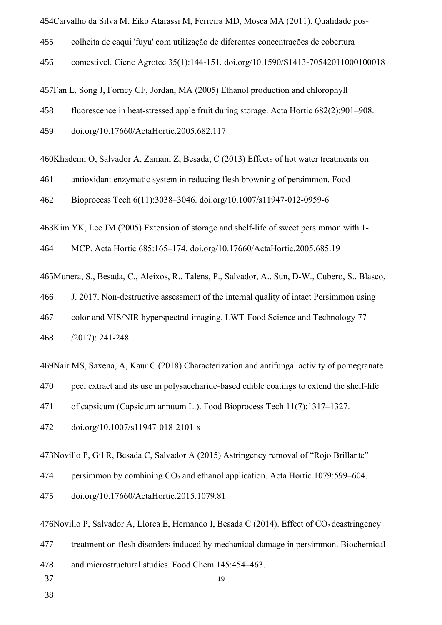454Carvalho da Silva M, Eiko Atarassi M, Ferreira MD, Mosca MA (2011). Qualidade póscolheita de caqui 'fuyu' com utilização de diferentes concentrações de cobertura comestível. Cienc Agrotec 35(1):144-151. doi.org/10.1590/S1413-70542011000100018 457Fan L, Song J, Forney CF, Jordan, MA (2005) Ethanol production and chlorophyll fluorescence in heat-stressed apple fruit during storage. Acta Hortic 682(2):901–908. doi.org/10.17660/ActaHortic.2005.682.117 460Khademi O, Salvador A, Zamani Z, Besada, C (2013) Effects of hot water treatments on antioxidant enzymatic system in reducing flesh browning of persimmon. Food Bioprocess Tech 6(11):3038–3046. doi.org/10.1007/s11947-012-0959-6 463Kim YK, Lee JM (2005) Extension of storage and shelf-life of sweet persimmon with 1-MCP. Acta Hortic 685:165–174. doi.org/10.17660/ActaHortic.2005.685.19 Munera, S., Besada, C., Aleixos, R., Talens, P., Salvador, A., Sun, D-W., Cubero, S., Blasco, 465 J. 2017. Non-destructive assessment of the internal quality of intact Persimmon using 455 456 458 459 461 462 464 466

color and VIS/NIR hyperspectral imaging. LWT-Food Science and Technology 77 467

/2017): 241-248. 468

469 Nair MS, Saxena, A, Kaur C (2018) Characterization and antifungal activity of pomegranate

peel extract and its use in polysaccharide-based edible coatings to extend the shelf-life 470

of capsicum (Capsicum annuum L.). Food Bioprocess Tech 11(7):1317–1327. 471

doi.org/10.1007/s11947-018-2101-x 472

473 Novillo P, Gil R, Besada C, Salvador A (2015) Astringency removal of "Rojo Brillante"

persimmon by combining  $CO_2$  and ethanol application. Acta Hortic 1079:599–604. 474

doi.org/10.17660/ActaHortic.2015.1079.81 475

476 Novillo P, Salvador A, Llorca E, Hernando I, Besada C (2014). Effect of  $CO<sub>2</sub>$  deastringency

treatment on flesh disorders induced by mechanical damage in persimmon. Biochemical 477

19

and microstructural studies. Food Chem 145:454–463. 478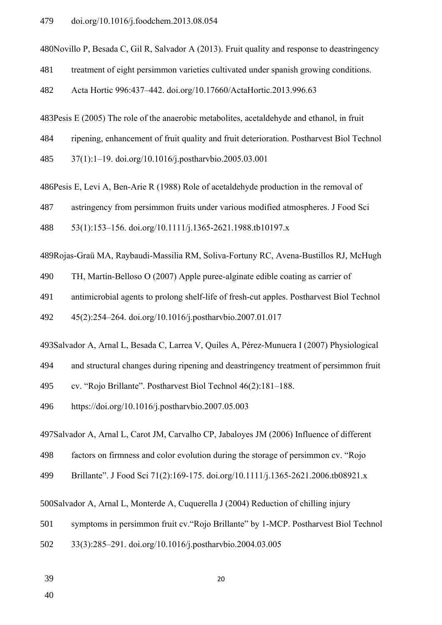480 Novillo P, Besada C, Gil R, Salvador A (2013). Fruit quality and response to deastringency

treatment of eight persimmon varieties cultivated under spanish growing conditions. 481

Acta Hortic 996:437–442. doi.org/10.17660/ActaHortic.2013.996.63 482

 $483$ Pesis E (2005) The role of the anaerobic metabolites, acetaldehyde and ethanol, in fruit

ripening, enhancement of fruit quality and fruit deterioration. Postharvest Biol Technol 484

37(1):1–19. doi.org/10.1016/j.postharvbio.2005.03.001 485

486Pesis E, Levi A, Ben-Arie R (1988) Role of acetaldehyde production in the removal of

astringency from persimmon fruits under various modified atmospheres. J Food Sci 487

53(1):153–156. doi.org/10.1111/j.1365-2621.1988.tb10197.x 488

489Rojas-Graü MA, Raybaudi-Massilia RM, Soliva-Fortuny RC, Avena-Bustillos RJ, McHugh

TH, Martín-Belloso O (2007) Apple puree-alginate edible coating as carrier of 490

antimicrobial agents to prolong shelf-life of fresh-cut apples. Postharvest Biol Technol 491

45(2):254–264. doi.org/10.1016/j.postharvbio.2007.01.017 492

493Salvador A, Arnal L, Besada C, Larrea V, Quiles A, Pérez-Munuera I (2007) Physiological

and structural changes during ripening and deastringency treatment of persimmon fruit 494

cv. "Rojo Brillante". Postharvest Biol Technol 46(2):181–188. 495

https://doi.org/10.1016/j.postharvbio.2007.05.003 496

497Salvador A, Arnal L, Carot JM, Carvalho CP, Jabaloyes JM (2006) Influence of different

factors on firmness and color evolution during the storage of persimmon cv. "Rojo 498

Brillante". J Food Sci 71(2):169-175. doi.org/10.1111/j.1365-2621.2006.tb08921.x 499

500Salvador A, Arnal L, Monterde A, Cuquerella J (2004) Reduction of chilling injury

symptoms in persimmon fruit cv."Rojo Brillante" by 1-MCP. Postharvest Biol Technol 501

33(3):285–291. doi.org/10.1016/j.postharvbio.2004.03.005 502

39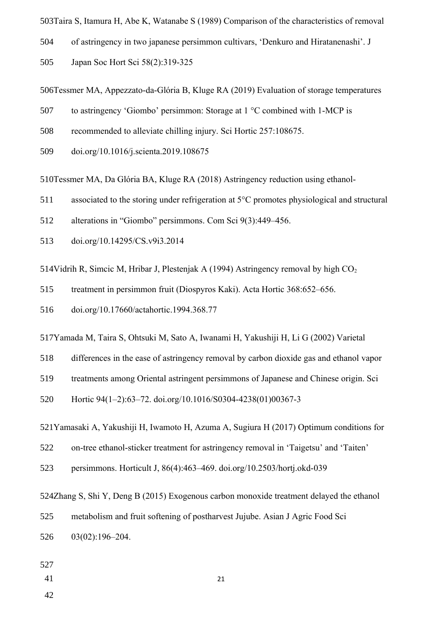503Taira S, Itamura H, Abe K, Watanabe S (1989) Comparison of the characteristics of removal

of astringency in two japanese persimmon cultivars, 'Denkuro and Hiratanenashi'. J 504

Japan Soc Hort Sci 58(2):319-325 505

506Tessmer MA, Appezzato-da-Glória B, Kluge RA (2019) Evaluation of storage temperatures

- to astringency 'Giombo' persimmon: Storage at 1 °C combined with 1-MCP is 507
- recommended to alleviate chilling injury. Sci Hortic 257:108675. 508
- doi.org/10.1016/j.scienta.2019.108675 509

510Tessmer MA, Da Glória BA, Kluge RA (2018) Astringency reduction using ethanol-

- associated to the storing under refrigeration at 5°C promotes physiological and structural 511
- alterations in "Giombo" persimmons. Com Sci 9(3):449–456. 512
- doi.org/10.14295/CS.v9i3.2014 513

514Vidrih R, Simcic M, Hribar J, Plestenjak A (1994) Astringency removal by high  $CO<sub>2</sub>$ 

treatment in persimmon fruit (Diospyros Kaki). Acta Hortic 368:652–656. 515

doi.org/10.17660/actahortic.1994.368.77 516

517Yamada M, Taira S, Ohtsuki M, Sato A, Iwanami H, Yakushiji H, Li G (2002) Varietal

differences in the ease of astringency removal by carbon dioxide gas and ethanol vapor 518

treatments among Oriental astringent persimmons of Japanese and Chinese origin. Sci 519

Hortic 94(1–2):63–72. doi.org/10.1016/S0304-4238(01)00367-3 520

521Yamasaki A, Yakushiji H, Iwamoto H, Azuma A, Sugiura H (2017) Optimum conditions for

on-tree ethanol-sticker treatment for astringency removal in 'Taigetsu' and 'Taiten' 522

persimmons. Horticult J, 86(4):463–469. doi.org/10.2503/hortj.okd-039 523

524Zhang S, Shi Y, Deng B (2015) Exogenous carbon monoxide treatment delayed the ethanol

metabolism and fruit softening of postharvest Jujube. Asian J Agric Food Sci 525

03(02):196–204. 526

527

41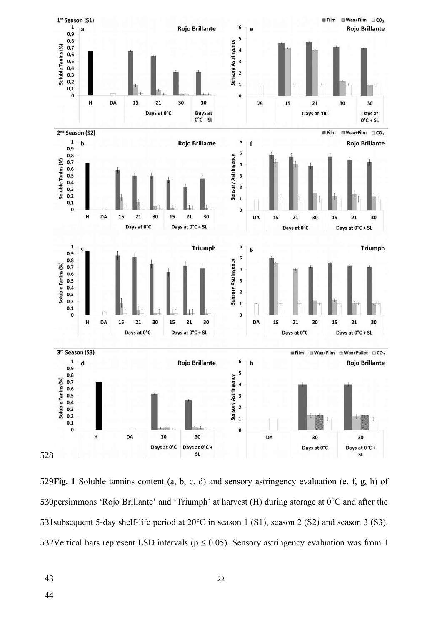

529 Fig. 1 Soluble tannins content (a, b, c, d) and sensory astringency evaluation (e, f, g, h) of 530 persimmons 'Rojo Brillante' and 'Triumph' at harvest (H) during storage at  $0^{\circ}$ C and after the 531 subsequent 5-day shelf-life period at  $20^{\circ}$ C in season 1 (S1), season 2 (S2) and season 3 (S3). 532Vertical bars represent LSD intervals ( $p \le 0.05$ ). Sensory astringency evaluation was from 1

43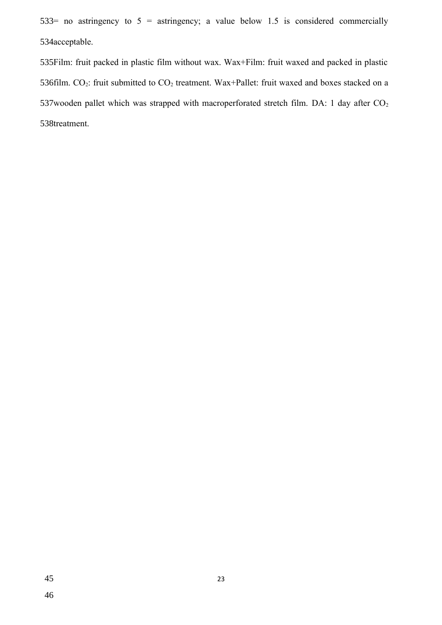533= no astringency to  $5 =$  astringency; a value below 1.5 is considered commercially 534acceptable.

Film: fruit packed in plastic film without wax. Wax+Film: fruit waxed and packed in plastic 535 536film. CO<sub>2</sub>: fruit submitted to  $CO_2$  treatment. Wax+Pallet: fruit waxed and boxes stacked on a 537 wooden pallet which was strapped with macroperforated stretch film. DA: 1 day after  $CO<sub>2</sub>$ 538treatment.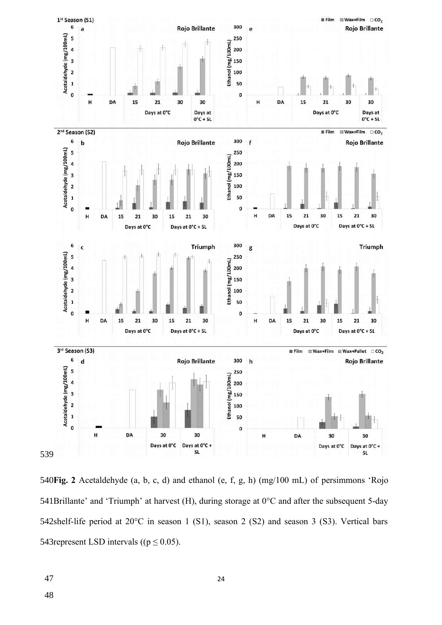

**Fig. 2** Acetaldehyde (a, b, c, d) and ethanol (e, f, g, h) (mg/100 mL) of persimmons 'Rojo 541Brillante' and 'Triumph' at harvest (H), during storage at  $0^{\circ}$ C and after the subsequent 5-day 542shelf-life period at 20°C in season 1 (S1), season 2 (S2) and season 3 (S3). Vertical bars 543 represent LSD intervals  $((p \le 0.05))$ .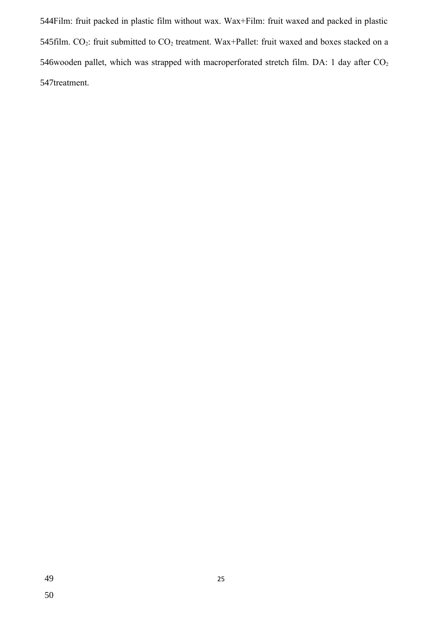Film: fruit packed in plastic film without wax. Wax+Film: fruit waxed and packed in plastic 544 545 film. CO<sub>2</sub>: fruit submitted to  $CO_2$  treatment. Wax+Pallet: fruit waxed and boxes stacked on a 546 wooden pallet, which was strapped with macroperforated stretch film. DA: 1 day after  $CO<sub>2</sub>$ 547treatment.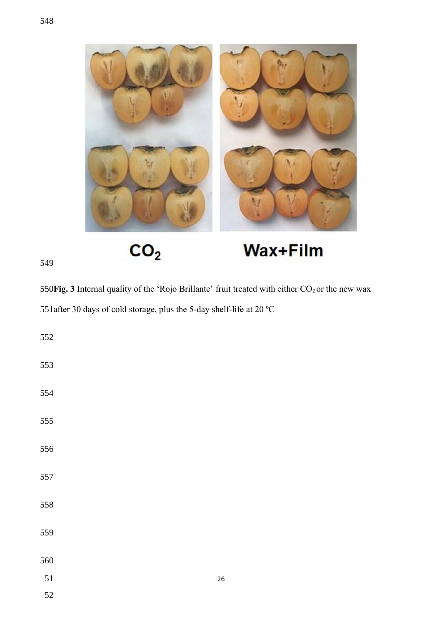

 $CO<sub>2</sub>$ 

# Wax+Film

550 $\text{Fig. 3}$  Internal quality of the 'Rojo Brillante' fruit treated with either  $\text{CO}_2$  or the new wax 551 after 30 days of cold storage, plus the 5-day shelf-life at 20  $^{\circ}$ C

| 552 |        |
|-----|--------|
| 553 |        |
| 554 |        |
| 555 |        |
| 556 |        |
| 557 |        |
| 558 |        |
| 559 |        |
| 560 |        |
| 51  | $26\,$ |
| 52  |        |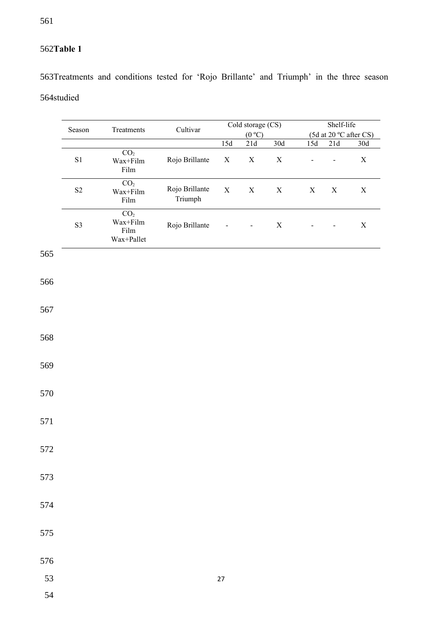# **Table 1** 562

563Treatments and conditions tested for 'Rojo Brillante' and Triumph' in the three season 564studied

|     | Season   | Treatments                                                                                            | Cultivar                  |             | Cold storage (CS)            |             | Shelf-life     |                |                        |  |
|-----|----------|-------------------------------------------------------------------------------------------------------|---------------------------|-------------|------------------------------|-------------|----------------|----------------|------------------------|--|
|     |          |                                                                                                       |                           |             | (0 °C)                       |             |                |                | (5d at 20 °C after CS) |  |
|     |          |                                                                                                       |                           | 15d         | 21d                          | 30d         | 15d            | $21\mathrm{d}$ | $30\mathrm{d}$         |  |
|     | $\rm S1$ | $\overline{CO_2}$<br>$\ensuremath{\text{Wax}}\xspace\text{+Film}$<br>$\rm{Film}$                      | Rojo Brillante            | $\mathbf X$ | $\mathbf X$                  | $\mathbf X$ | $\overline{a}$ | $\overline{a}$ | $\mathbf X$            |  |
|     | $\rm S2$ | $\overline{CO_2}$<br>$\mbox{Wax+Film}$<br>$\rm{Film}$                                                 | Rojo Brillante<br>Triumph | $\mathbf X$ | $\mathbf X$                  | $\mathbf X$ | $\mathbf X$    | $\mathbf X$    | $\mathbf X$            |  |
|     | S3       | CO <sub>2</sub><br>$\mbox{Wax+Film}$<br>$\rm{Film}$<br>$\ensuremath{\text{Wax}}\xspace\text{+Pallet}$ | Rojo Brillante            |             | $\qquad \qquad \blacksquare$ | $\mathbf X$ |                |                | $\mathbf X$            |  |
| 565 |          |                                                                                                       |                           |             |                              |             |                |                |                        |  |
| 566 |          |                                                                                                       |                           |             |                              |             |                |                |                        |  |
| 567 |          |                                                                                                       |                           |             |                              |             |                |                |                        |  |
| 568 |          |                                                                                                       |                           |             |                              |             |                |                |                        |  |
| 569 |          |                                                                                                       |                           |             |                              |             |                |                |                        |  |
| 570 |          |                                                                                                       |                           |             |                              |             |                |                |                        |  |
| 571 |          |                                                                                                       |                           |             |                              |             |                |                |                        |  |
| 572 |          |                                                                                                       |                           |             |                              |             |                |                |                        |  |
| 573 |          |                                                                                                       |                           |             |                              |             |                |                |                        |  |
| 574 |          |                                                                                                       |                           |             |                              |             |                |                |                        |  |
| 575 |          |                                                                                                       |                           |             |                              |             |                |                |                        |  |
| 576 |          |                                                                                                       |                           |             |                              |             |                |                |                        |  |
| 53  |          |                                                                                                       |                           | $27\,$      |                              |             |                |                |                        |  |
| 54  |          |                                                                                                       |                           |             |                              |             |                |                |                        |  |